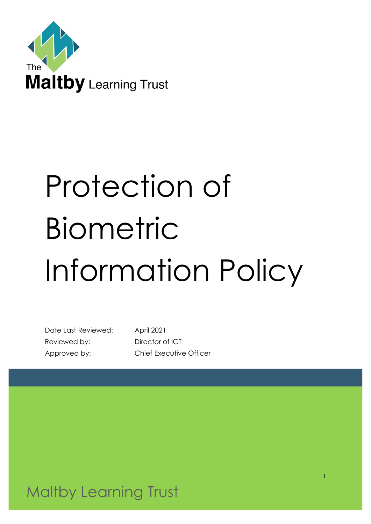

# Protection of Biometric Information Policy

Date Last Reviewed: April 2021 Reviewed by: Director of ICT

Approved by: Chief Executive Officer

**Maltby Learning Trust**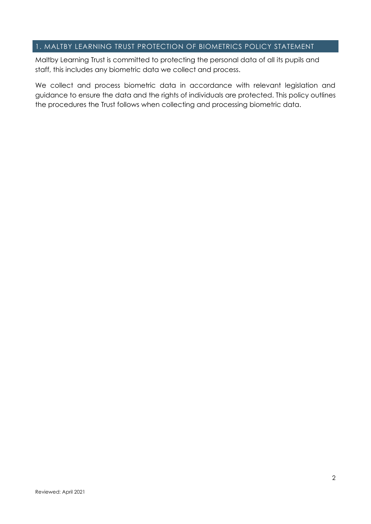# 1. MALTBY LEARNING TRUST PROTECTION OF BIOMETRICS POLICY STATEMENT

Maltby Learning Trust is committed to protecting the personal data of all its pupils and staff, this includes any biometric data we collect and process.

We collect and process biometric data in accordance with relevant legislation and guidance to ensure the data and the rights of individuals are protected. This policy outlines the procedures the Trust follows when collecting and processing biometric data.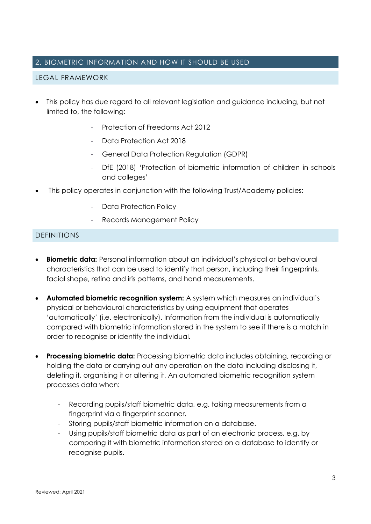## 2. BIOMETRIC INFORMATION AND HOW IT SHOULD BE USED

## LEGAL FRAMEWORK

- This policy has due regard to all relevant legislation and guidance including, but not limited to, the following:
	- Protection of Freedoms Act 2012
	- Data Protection Act 2018
	- General Data Protection Regulation (GDPR)
	- DfE (2018) 'Protection of biometric information of children in schools and colleges'
- This policy operates in conjunction with the following Trust/Academy policies:
	- Data Protection Policy
	- Records Management Policy

#### DEFINITIONS

- **Biometric data:** Personal information about an individual's physical or behavioural characteristics that can be used to identify that person, including their fingerprints, facial shape, retina and iris patterns, and hand measurements.
- **Automated biometric recognition system:** A system which measures an individual's physical or behavioural characteristics by using equipment that operates 'automatically' (i.e. electronically). Information from the individual is automatically compared with biometric information stored in the system to see if there is a match in order to recognise or identify the individual.
- **Processing biometric data:** Processing biometric data includes obtaining, recording or holding the data or carrying out any operation on the data including disclosing it, deleting it, organising it or altering it. An automated biometric recognition system processes data when:
	- Recording pupils/staff biometric data, e.g. taking measurements from a fingerprint via a fingerprint scanner.
	- Storing pupils/staff biometric information on a database.
	- Using pupils/staff biometric data as part of an electronic process, e.g. by comparing it with biometric information stored on a database to identify or recognise pupils.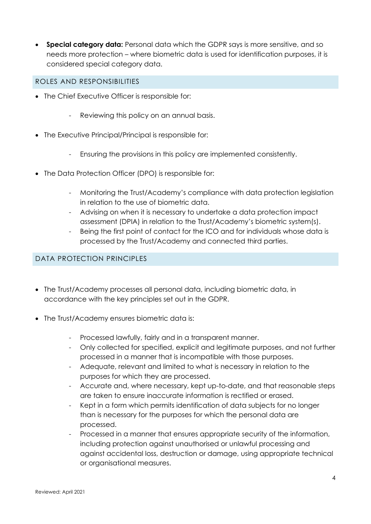• **Special category data:** Personal data which the GDPR says is more sensitive, and so needs more protection – where biometric data is used for identification purposes, it is considered special category data.

### ROLES AND RESPONSIBILITIES

- The Chief Executive Officer is responsible for:
	- Reviewing this policy on an annual basis.
- The Executive Principal/Principal is responsible for:
	- Ensuring the provisions in this policy are implemented consistently.
- The Data Protection Officer (DPO) is responsible for:
	- Monitoring the Trust/Academy's compliance with data protection legislation in relation to the use of biometric data.
	- Advising on when it is necessary to undertake a data protection impact assessment (DPIA) in relation to the Trust/Academy's biometric system(s).
	- Being the first point of contact for the ICO and for individuals whose data is processed by the Trust/Academy and connected third parties.

## DATA PROTECTION PRINCIPLES

- The Trust/Academy processes all personal data, including biometric data, in accordance with the key principles set out in the GDPR.
- The Trust/Academy ensures biometric data is:
	- Processed lawfully, fairly and in a transparent manner.
	- Only collected for specified, explicit and legitimate purposes, and not further processed in a manner that is incompatible with those purposes.
	- Adequate, relevant and limited to what is necessary in relation to the purposes for which they are processed.
	- Accurate and, where necessary, kept up-to-date, and that reasonable steps are taken to ensure inaccurate information is rectified or erased.
	- Kept in a form which permits identification of data subjects for no longer than is necessary for the purposes for which the personal data are processed.
	- Processed in a manner that ensures appropriate security of the information, including protection against unauthorised or unlawful processing and against accidental loss, destruction or damage, using appropriate technical or organisational measures.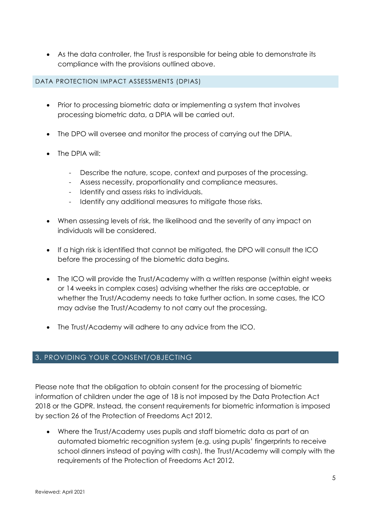• As the data controller, the Trust is responsible for being able to demonstrate its compliance with the provisions outlined above.

#### DATA PROTECTION IMPACT ASSESSMENTS (DPIAS)

- Prior to processing biometric data or implementing a system that involves processing biometric data, a DPIA will be carried out.
- The DPO will oversee and monitor the process of carrying out the DPIA.
- The DPIA will:
	- Describe the nature, scope, context and purposes of the processing.
	- Assess necessity, proportionality and compliance measures.
	- Identify and assess risks to individuals.
	- Identify any additional measures to mitigate those risks.
- When assessing levels of risk, the likelihood and the severity of any impact on individuals will be considered.
- If a high risk is identified that cannot be mitigated, the DPO will consult the ICO before the processing of the biometric data begins.
- The ICO will provide the Trust/Academy with a written response (within eight weeks or 14 weeks in complex cases) advising whether the risks are acceptable, or whether the Trust/Academy needs to take further action. In some cases, the ICO may advise the Trust/Academy to not carry out the processing.
- The Trust/Academy will adhere to any advice from the ICO.

# 3. PROVIDING YOUR CONSENT/OBJECTING

Please note that the obligation to obtain consent for the processing of biometric information of children under the age of 18 is not imposed by the Data Protection Act 2018 or the GDPR. Instead, the consent requirements for biometric information is imposed by section 26 of the Protection of Freedoms Act 2012.

• Where the Trust/Academy uses pupils and staff biometric data as part of an automated biometric recognition system (e.g. using pupils' fingerprints to receive school dinners instead of paying with cash), the Trust/Academy will comply with the requirements of the Protection of Freedoms Act 2012.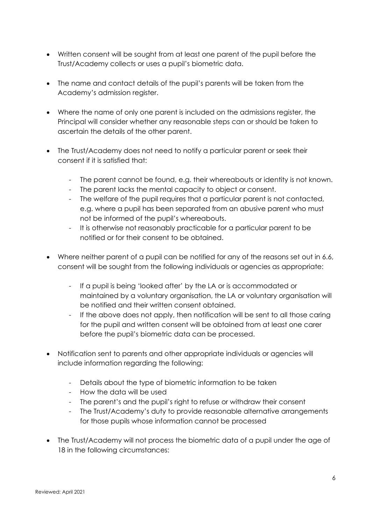- Written consent will be sought from at least one parent of the pupil before the Trust/Academy collects or uses a pupil's biometric data.
- The name and contact details of the pupil's parents will be taken from the Academy's admission reaister.
- Where the name of only one parent is included on the admissions register, the Principal will consider whether any reasonable steps can or should be taken to ascertain the details of the other parent.
- The Trust/Academy does not need to notify a particular parent or seek their consent if it is satisfied that:
	- The parent cannot be found, e.g. their whereabouts or identity is not known.
	- The parent lacks the mental capacity to object or consent.
	- The welfare of the pupil requires that a particular parent is not contacted, e.g. where a pupil has been separated from an abusive parent who must not be informed of the pupil's whereabouts.
	- It is otherwise not reasonably practicable for a particular parent to be notified or for their consent to be obtained.
- Where neither parent of a pupil can be notified for any of the reasons set out in 6.6, consent will be sought from the following individuals or agencies as appropriate:
	- If a pupil is being 'looked after' by the LA or is accommodated or maintained by a voluntary organisation, the LA or voluntary organisation will be notified and their written consent obtained.
	- If the above does not apply, then notification will be sent to all those caring for the pupil and written consent will be obtained from at least one carer before the pupil's biometric data can be processed.
- Notification sent to parents and other appropriate individuals or agencies will include information regarding the following:
	- Details about the type of biometric information to be taken
	- How the data will be used
	- The parent's and the pupil's right to refuse or withdraw their consent
	- The Trust/Academy's duty to provide reasonable alternative arrangements for those pupils whose information cannot be processed
- The Trust/Academy will not process the biometric data of a pupil under the age of 18 in the following circumstances: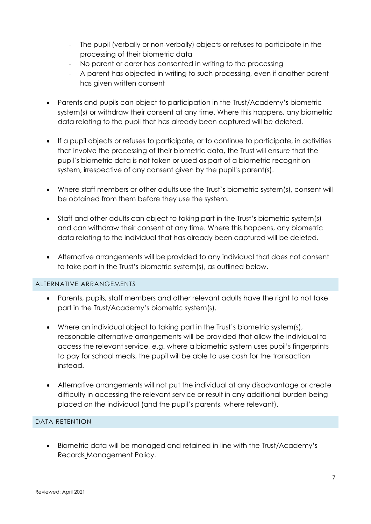- The pupil (verbally or non-verbally) objects or refuses to participate in the processing of their biometric data
- No parent or carer has consented in writing to the processing
- A parent has objected in writing to such processing, even if another parent has given written consent
- Parents and pupils can object to participation in the Trust/Academy's biometric system(s) or withdraw their consent at any time. Where this happens, any biometric data relating to the pupil that has already been captured will be deleted.
- If a pupil objects or refuses to participate, or to continue to participate, in activities that involve the processing of their biometric data, the Trust will ensure that the pupil's biometric data is not taken or used as part of a biometric recognition system, irrespective of any consent given by the pupil's parent(s).
- Where staff members or other adults use the Trust`s biometric system(s), consent will be obtained from them before they use the system.
- Staff and other adults can object to taking part in the Trust's biometric system(s) and can withdraw their consent at any time. Where this happens, any biometric data relating to the individual that has already been captured will be deleted.
- Alternative arrangements will be provided to any individual that does not consent to take part in the Trust's biometric system(s), as outlined below.

#### ALTERNATIVE ARRANGEMENTS

- Parents, pupils, staff members and other relevant adults have the right to not take part in the Trust/Academy's biometric system(s).
- Where an individual object to taking part in the Trust's biometric system(s), reasonable alternative arrangements will be provided that allow the individual to access the relevant service, e.g. where a biometric system uses pupil's fingerprints to pay for school meals, the pupil will be able to use cash for the transaction instead.
- Alternative arrangements will not put the individual at any disadvantage or create difficulty in accessing the relevant service or result in any additional burden being placed on the individual (and the pupil's parents, where relevant).

## DATA RETENTION

• Biometric data will be managed and retained in line with the Trust/Academy's Records Management Policy.